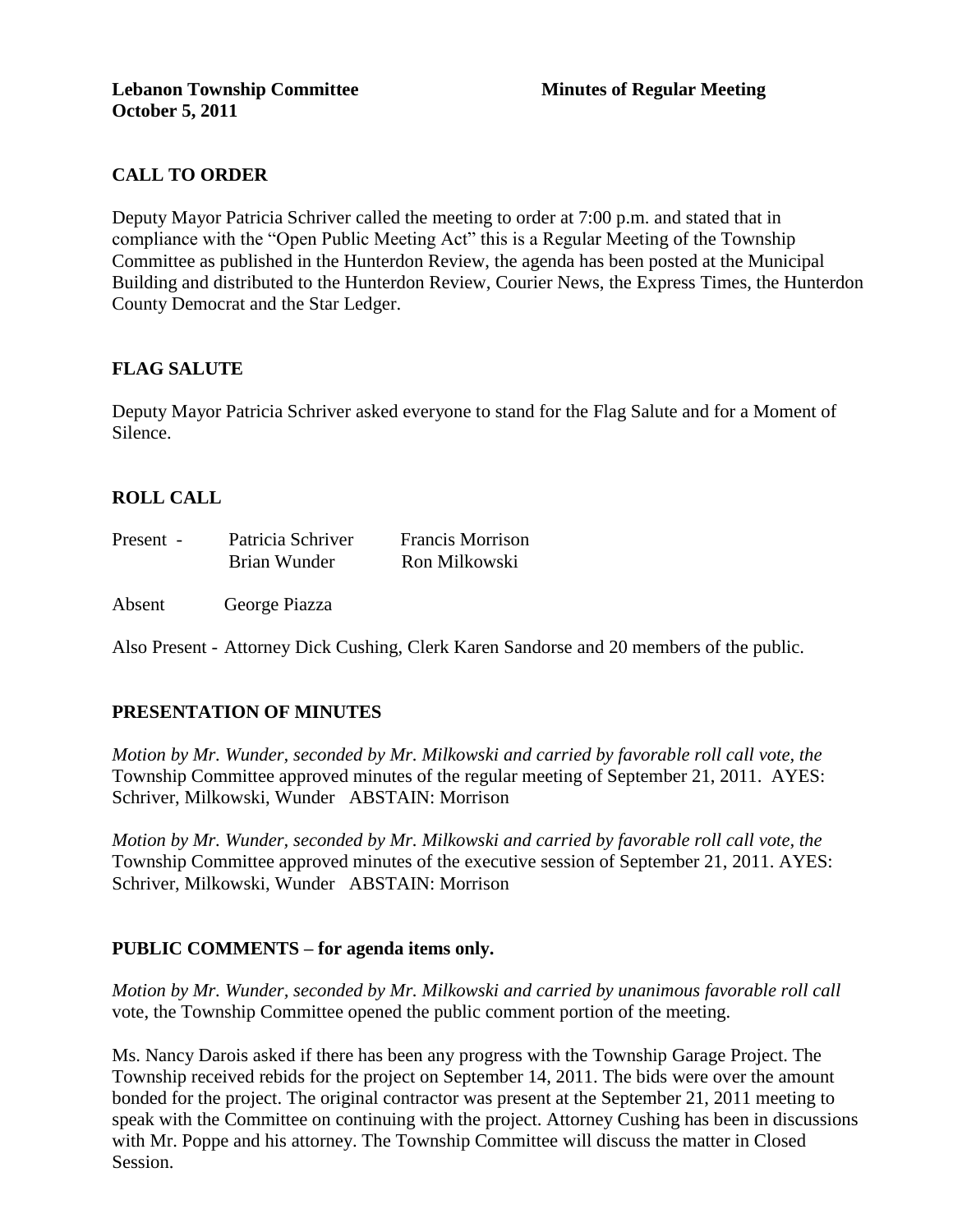# **CALL TO ORDER**

Deputy Mayor Patricia Schriver called the meeting to order at 7:00 p.m. and stated that in compliance with the "Open Public Meeting Act" this is a Regular Meeting of the Township Committee as published in the Hunterdon Review, the agenda has been posted at the Municipal Building and distributed to the Hunterdon Review, Courier News, the Express Times, the Hunterdon County Democrat and the Star Ledger.

# **FLAG SALUTE**

Deputy Mayor Patricia Schriver asked everyone to stand for the Flag Salute and for a Moment of Silence.

# **ROLL CALL**

| Present - | Patricia Schriver | <b>Francis Morrison</b> |
|-----------|-------------------|-------------------------|
|           | Brian Wunder      | Ron Milkowski           |

Absent George Piazza

Also Present - Attorney Dick Cushing, Clerk Karen Sandorse and 20 members of the public.

# **PRESENTATION OF MINUTES**

*Motion by Mr. Wunder, seconded by Mr. Milkowski and carried by favorable roll call vote, the* Township Committee approved minutes of the regular meeting of September 21, 2011. AYES: Schriver, Milkowski, Wunder ABSTAIN: Morrison

*Motion by Mr. Wunder, seconded by Mr. Milkowski and carried by favorable roll call vote, the* Township Committee approved minutes of the executive session of September 21, 2011. AYES: Schriver, Milkowski, Wunder ABSTAIN: Morrison

# **PUBLIC COMMENTS – for agenda items only.**

*Motion by Mr. Wunder, seconded by Mr. Milkowski and carried by unanimous favorable roll call*  vote, the Township Committee opened the public comment portion of the meeting.

Ms. Nancy Darois asked if there has been any progress with the Township Garage Project. The Township received rebids for the project on September 14, 2011. The bids were over the amount bonded for the project. The original contractor was present at the September 21, 2011 meeting to speak with the Committee on continuing with the project. Attorney Cushing has been in discussions with Mr. Poppe and his attorney. The Township Committee will discuss the matter in Closed Session.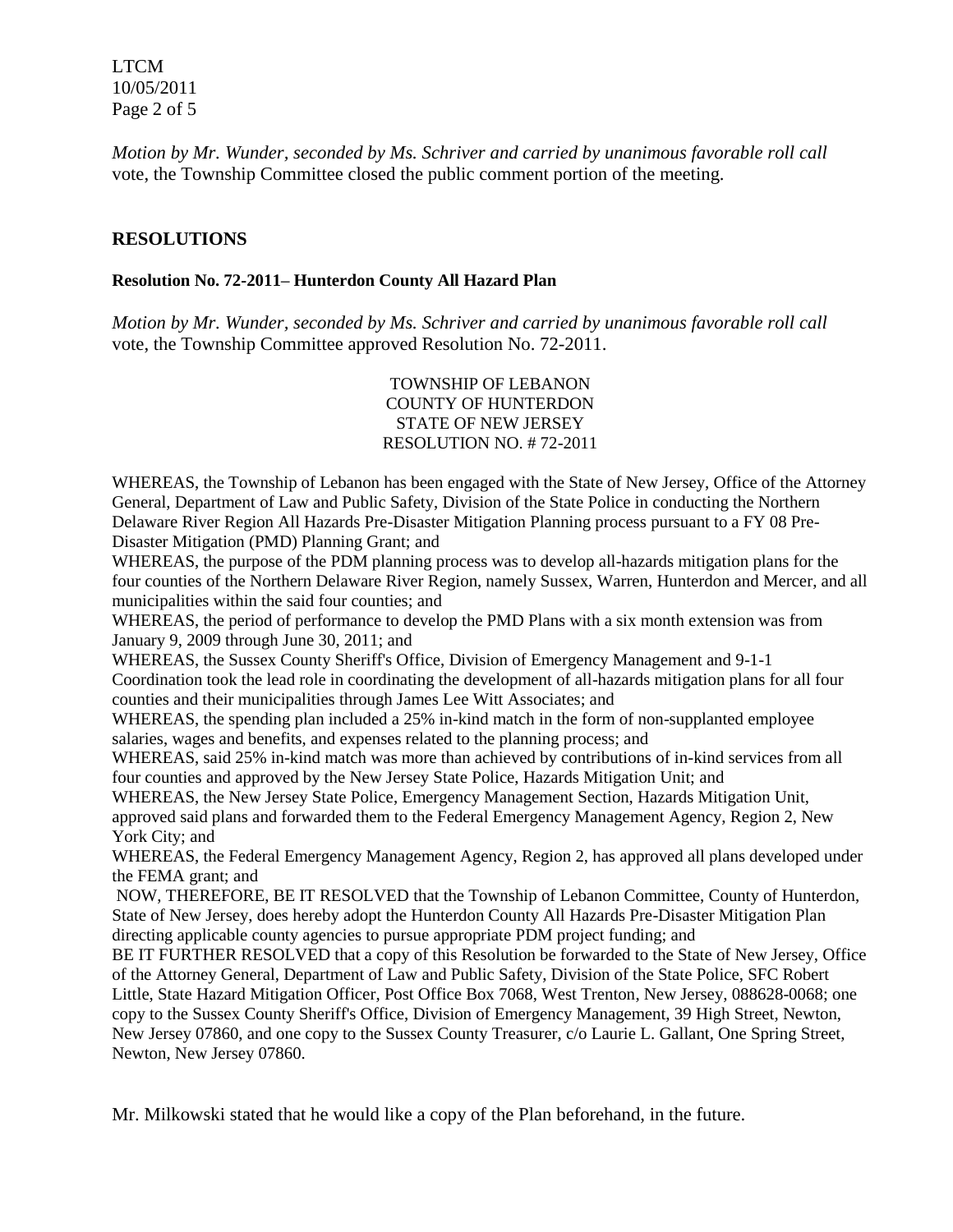LTCM 10/05/2011 Page 2 of 5

*Motion by Mr. Wunder, seconded by Ms. Schriver and carried by unanimous favorable roll call*  vote, the Township Committee closed the public comment portion of the meeting.

### **RESOLUTIONS**

#### **Resolution No. 72-2011– Hunterdon County All Hazard Plan**

*Motion by Mr. Wunder, seconded by Ms. Schriver and carried by unanimous favorable roll call*  vote, the Township Committee approved Resolution No. 72-2011.

#### TOWNSHIP OF LEBANON COUNTY OF HUNTERDON STATE OF NEW JERSEY RESOLUTION NO. # 72-2011

WHEREAS, the Township of Lebanon has been engaged with the State of New Jersey, Office of the Attorney General, Department of Law and Public Safety, Division of the State Police in conducting the Northern Delaware River Region All Hazards Pre-Disaster Mitigation Planning process pursuant to a FY 08 Pre-Disaster Mitigation (PMD) Planning Grant; and

WHEREAS, the purpose of the PDM planning process was to develop all-hazards mitigation plans for the four counties of the Northern Delaware River Region, namely Sussex, Warren, Hunterdon and Mercer, and all municipalities within the said four counties; and

WHEREAS, the period of performance to develop the PMD Plans with a six month extension was from January 9, 2009 through June 30, 2011; and

WHEREAS, the Sussex County Sheriff's Office, Division of Emergency Management and 9-1-1 Coordination took the lead role in coordinating the development of all-hazards mitigation plans for all four counties and their municipalities through James Lee Witt Associates; and

WHEREAS, the spending plan included a 25% in-kind match in the form of non-supplanted employee salaries, wages and benefits, and expenses related to the planning process; and

WHEREAS, said 25% in-kind match was more than achieved by contributions of in-kind services from all four counties and approved by the New Jersey State Police, Hazards Mitigation Unit; and

WHEREAS, the New Jersey State Police, Emergency Management Section, Hazards Mitigation Unit, approved said plans and forwarded them to the Federal Emergency Management Agency, Region 2, New York City; and

WHEREAS, the Federal Emergency Management Agency, Region 2, has approved all plans developed under the FEMA grant; and

NOW, THEREFORE, BE IT RESOLVED that the Township of Lebanon Committee, County of Hunterdon, State of New Jersey, does hereby adopt the Hunterdon County All Hazards Pre-Disaster Mitigation Plan directing applicable county agencies to pursue appropriate PDM project funding; and

BE IT FURTHER RESOLVED that a copy of this Resolution be forwarded to the State of New Jersey, Office of the Attorney General, Department of Law and Public Safety, Division of the State Police, SFC Robert Little, State Hazard Mitigation Officer, Post Office Box 7068, West Trenton, New Jersey, 088628-0068; one copy to the Sussex County Sheriff's Office, Division of Emergency Management, 39 High Street, Newton, New Jersey 07860, and one copy to the Sussex County Treasurer, c/o Laurie L. Gallant, One Spring Street, Newton, New Jersey 07860.

Mr. Milkowski stated that he would like a copy of the Plan beforehand, in the future.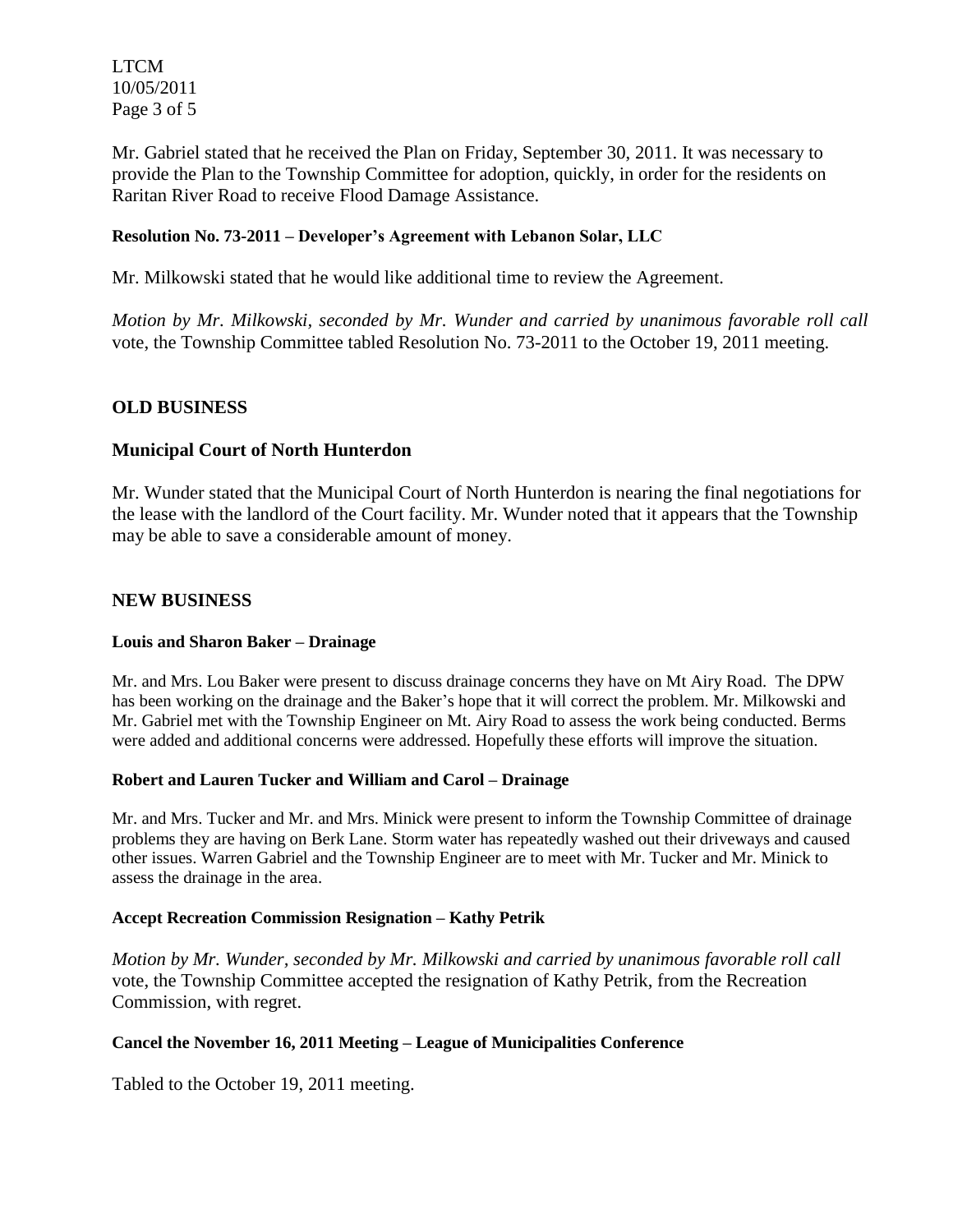LTCM 10/05/2011 Page 3 of 5

Mr. Gabriel stated that he received the Plan on Friday, September 30, 2011. It was necessary to provide the Plan to the Township Committee for adoption, quickly, in order for the residents on Raritan River Road to receive Flood Damage Assistance.

## **Resolution No. 73-2011 – Developer's Agreement with Lebanon Solar, LLC**

Mr. Milkowski stated that he would like additional time to review the Agreement.

*Motion by Mr. Milkowski, seconded by Mr. Wunder and carried by unanimous favorable roll call*  vote, the Township Committee tabled Resolution No. 73-2011 to the October 19, 2011 meeting.

## **OLD BUSINESS**

## **Municipal Court of North Hunterdon**

Mr. Wunder stated that the Municipal Court of North Hunterdon is nearing the final negotiations for the lease with the landlord of the Court facility. Mr. Wunder noted that it appears that the Township may be able to save a considerable amount of money.

### **NEW BUSINESS**

#### **Louis and Sharon Baker – Drainage**

Mr. and Mrs. Lou Baker were present to discuss drainage concerns they have on Mt Airy Road. The DPW has been working on the drainage and the Baker's hope that it will correct the problem. Mr. Milkowski and Mr. Gabriel met with the Township Engineer on Mt. Airy Road to assess the work being conducted. Berms were added and additional concerns were addressed. Hopefully these efforts will improve the situation.

#### **Robert and Lauren Tucker and William and Carol – Drainage**

Mr. and Mrs. Tucker and Mr. and Mrs. Minick were present to inform the Township Committee of drainage problems they are having on Berk Lane. Storm water has repeatedly washed out their driveways and caused other issues. Warren Gabriel and the Township Engineer are to meet with Mr. Tucker and Mr. Minick to assess the drainage in the area.

#### **Accept Recreation Commission Resignation – Kathy Petrik**

*Motion by Mr. Wunder, seconded by Mr. Milkowski and carried by unanimous favorable roll call*  vote, the Township Committee accepted the resignation of Kathy Petrik, from the Recreation Commission, with regret.

### **Cancel the November 16, 2011 Meeting – League of Municipalities Conference**

Tabled to the October 19, 2011 meeting.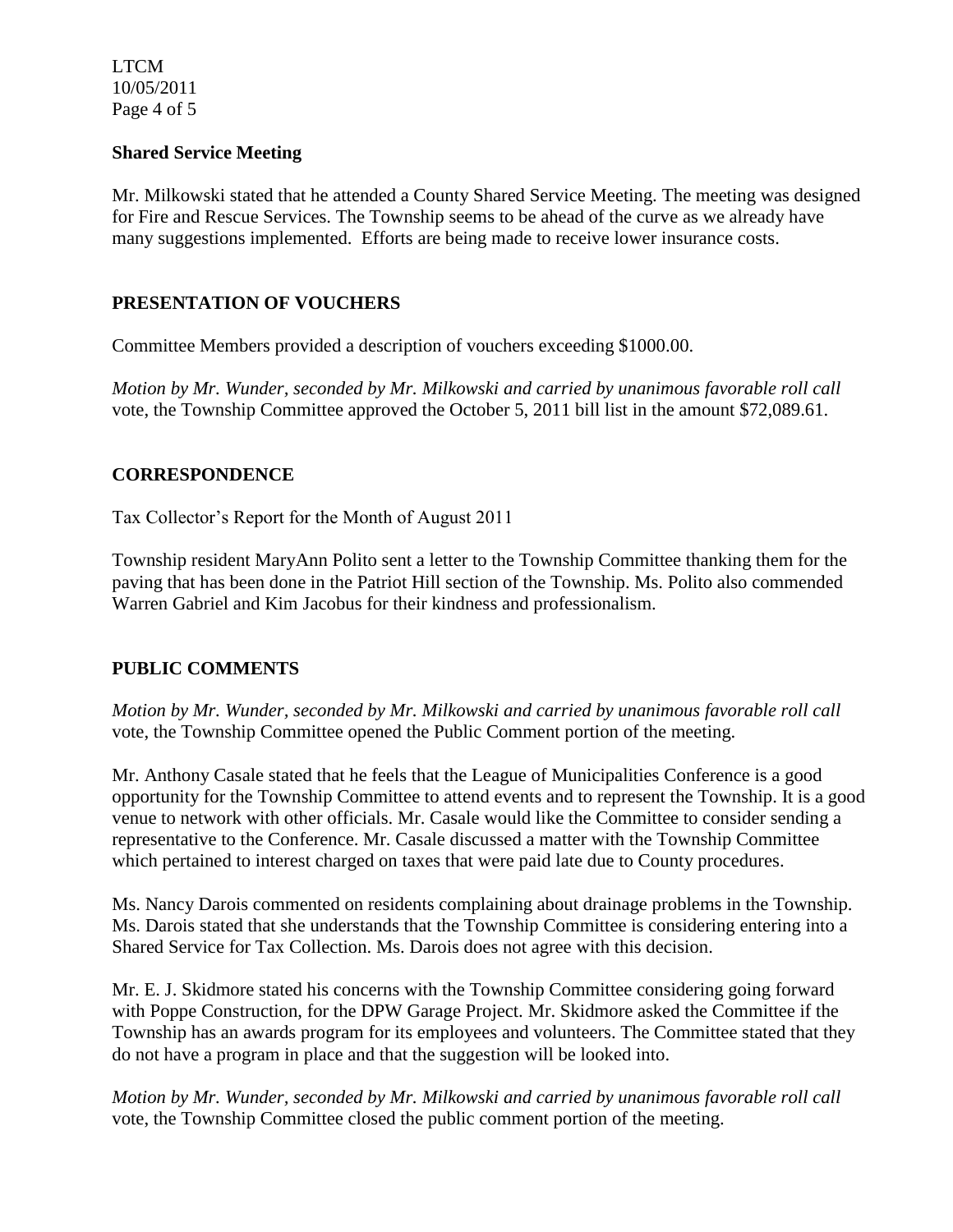LTCM 10/05/2011 Page 4 of 5

## **Shared Service Meeting**

Mr. Milkowski stated that he attended a County Shared Service Meeting. The meeting was designed for Fire and Rescue Services. The Township seems to be ahead of the curve as we already have many suggestions implemented. Efforts are being made to receive lower insurance costs.

## **PRESENTATION OF VOUCHERS**

Committee Members provided a description of vouchers exceeding \$1000.00.

*Motion by Mr. Wunder, seconded by Mr. Milkowski and carried by unanimous favorable roll call*  vote, the Township Committee approved the October 5, 2011 bill list in the amount \$72,089.61.

## **CORRESPONDENCE**

Tax Collector's Report for the Month of August 2011

Township resident MaryAnn Polito sent a letter to the Township Committee thanking them for the paving that has been done in the Patriot Hill section of the Township. Ms. Polito also commended Warren Gabriel and Kim Jacobus for their kindness and professionalism.

# **PUBLIC COMMENTS**

*Motion by Mr. Wunder, seconded by Mr. Milkowski and carried by unanimous favorable roll call*  vote, the Township Committee opened the Public Comment portion of the meeting.

Mr. Anthony Casale stated that he feels that the League of Municipalities Conference is a good opportunity for the Township Committee to attend events and to represent the Township. It is a good venue to network with other officials. Mr. Casale would like the Committee to consider sending a representative to the Conference. Mr. Casale discussed a matter with the Township Committee which pertained to interest charged on taxes that were paid late due to County procedures.

Ms. Nancy Darois commented on residents complaining about drainage problems in the Township. Ms. Darois stated that she understands that the Township Committee is considering entering into a Shared Service for Tax Collection. Ms. Darois does not agree with this decision.

Mr. E. J. Skidmore stated his concerns with the Township Committee considering going forward with Poppe Construction, for the DPW Garage Project. Mr. Skidmore asked the Committee if the Township has an awards program for its employees and volunteers. The Committee stated that they do not have a program in place and that the suggestion will be looked into.

*Motion by Mr. Wunder, seconded by Mr. Milkowski and carried by unanimous favorable roll call*  vote, the Township Committee closed the public comment portion of the meeting.